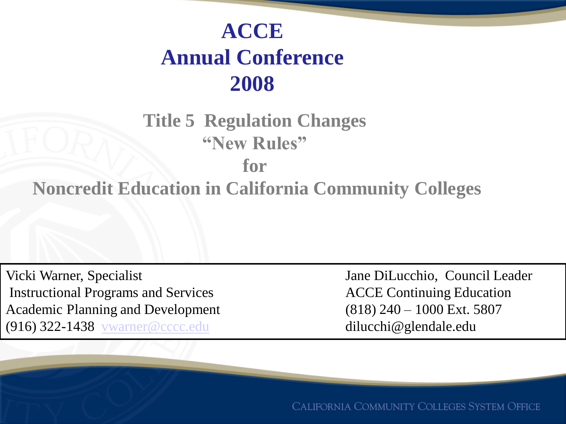# **ACCE Annual Conference 2008**

## **Title 5 Regulation Changes "New Rules" for Noncredit Education in California Community Colleges**

Vicki Warner, Specialist Jane DiLucchio, Council Leader Instructional Programs and Services ACCE Continuing Education Academic Planning and Development (818) 240 – 1000 Ext. 5807 (916) 322-1438 [vwarner@cccc.edu](mailto:vwarner@cccc.edu) dilucchi@glendale.edu

CALIFORNIA COMMUNITY COLLEGES SYSTEM OFFICE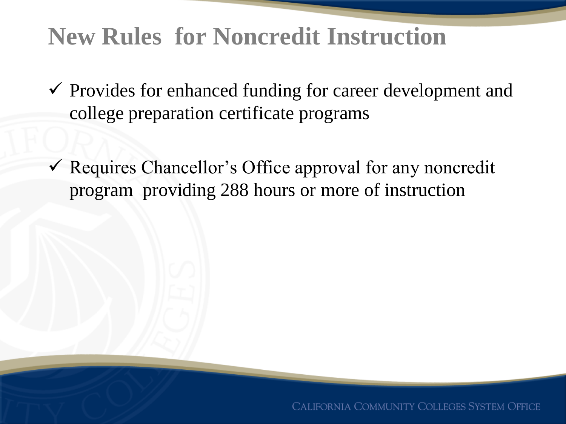# **New Rules for Noncredit Instruction**

- $\checkmark$  Provides for enhanced funding for career development and college preparation certificate programs
- Requires Chancellor's Office approval for any noncredit program providing 288 hours or more of instruction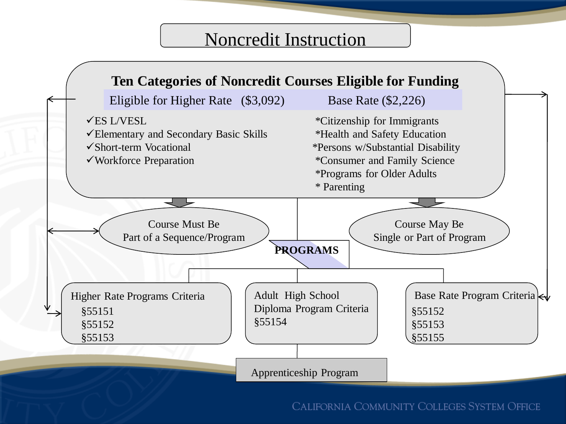#### Noncredit Instruction

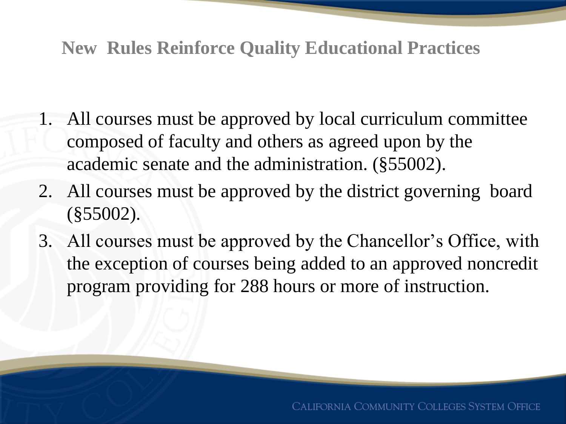### **New Rules Reinforce Quality Educational Practices**

- 1. All courses must be approved by local curriculum committee composed of faculty and others as agreed upon by the academic senate and the administration. (§55002).
- 2. All courses must be approved by the district governing board (§55002).
- 3. All courses must be approved by the Chancellor's Office, with the exception of courses being added to an approved noncredit program providing for 288 hours or more of instruction.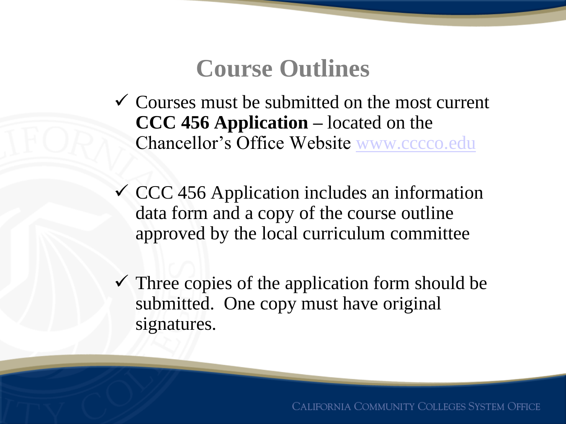# **Course Outlines**

- $\checkmark$  Courses must be submitted on the most current **CCC 456 Application –** located on the Chancellor's Office Website [www.cccco.edu](http://www.cccco.edu/)
- $\checkmark$  CCC 456 Application includes an information data form and a copy of the course outline approved by the local curriculum committee
- $\checkmark$  Three copies of the application form should be submitted. One copy must have original signatures.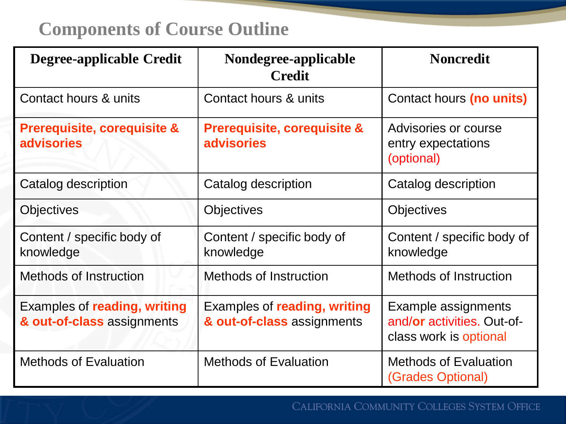## **Components of Course Outline**

| <b>Degree-applicable Credit</b>                             | Nondegree-applicable<br><b>Credit</b>                       | <b>Noncredit</b>                                                            |
|-------------------------------------------------------------|-------------------------------------------------------------|-----------------------------------------------------------------------------|
| Contact hours & units                                       | Contact hours & units                                       | Contact hours (no units)                                                    |
| <b>Prerequisite, corequisite &amp;</b><br><b>advisories</b> | <b>Prerequisite, corequisite &amp;</b><br><b>advisories</b> | Advisories or course<br>entry expectations<br>(optional)                    |
| Catalog description                                         | Catalog description                                         | Catalog description                                                         |
| <b>Objectives</b>                                           | <b>Objectives</b>                                           | <b>Objectives</b>                                                           |
| Content / specific body of<br>knowledge                     | Content / specific body of<br>knowledge                     | Content / specific body of<br>knowledge                                     |
| <b>Methods of Instruction</b>                               | <b>Methods of Instruction</b>                               | Methods of Instruction                                                      |
| Examples of reading, writing<br>& out-of-class assignments  | Examples of reading, writing<br>& out-of-class assignments  | Example assignments<br>and/or activities. Out-of-<br>class work is optional |
| <b>Methods of Evaluation</b>                                | <b>Methods of Evaluation</b>                                | <b>Methods of Evaluation</b><br>(Grades Optional)                           |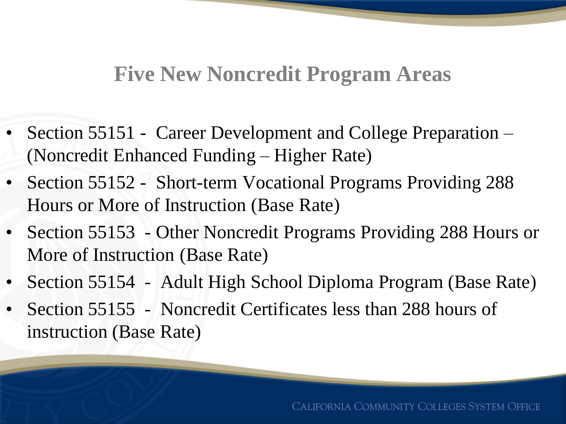## **Five New Noncredit Program Areas**

- Section 55151 Career Development and College Preparation (Noncredit Enhanced Funding – Higher Rate)
- Section 55152 Short-term Vocational Programs Providing 288 Hours or More of Instruction (Base Rate)
- Section 55153 Other Noncredit Programs Providing 288 Hours or More of Instruction (Base Rate)
- Section 55154 Adult High School Diploma Program (Base Rate)
- Section 55155 Noncredit Certificates less than 288 hours of instruction (Base Rate)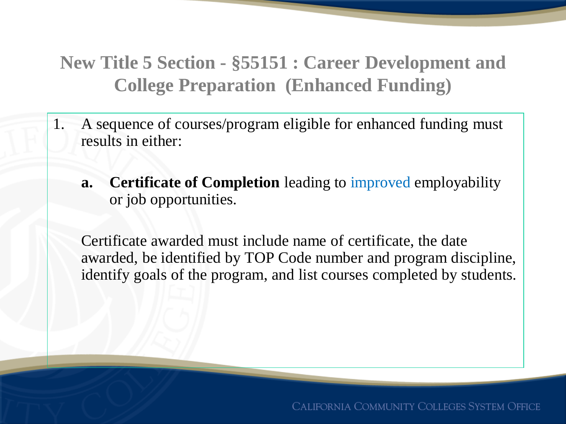**New Title 5 Section - §55151 : Career Development and College Preparation (Enhanced Funding)**

- 1. A sequence of courses/program eligible for enhanced funding must results in either:
	- **a. Certificate of Completion** leading to improved employability or job opportunities.

Certificate awarded must include name of certificate, the date awarded, be identified by TOP Code number and program discipline, identify goals of the program, and list courses completed by students.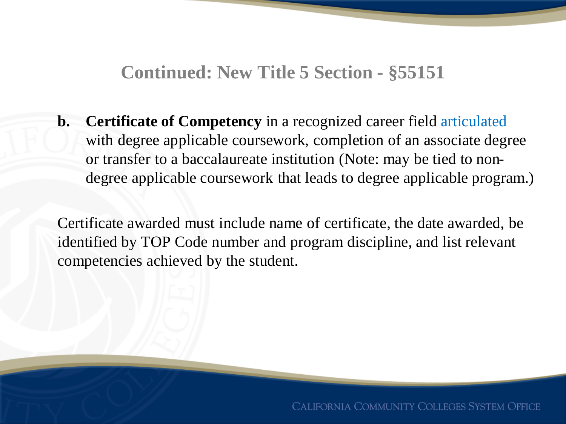**Continued: New Title 5 Section - §55151** 

**b. Certificate of Competency** in a recognized career field articulated with degree applicable coursework, completion of an associate degree or transfer to a baccalaureate institution (Note: may be tied to nondegree applicable coursework that leads to degree applicable program.)

Certificate awarded must include name of certificate, the date awarded, be identified by TOP Code number and program discipline, and list relevant competencies achieved by the student.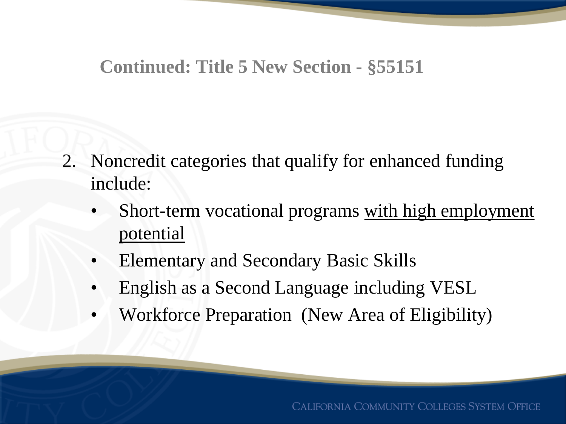### **Continued: Title 5 New Section - §55151**

- 2. Noncredit categories that qualify for enhanced funding include:
	- Short-term vocational programs with high employment potential
	- Elementary and Secondary Basic Skills
	- English as a Second Language including VESL
	- Workforce Preparation (New Area of Eligibility)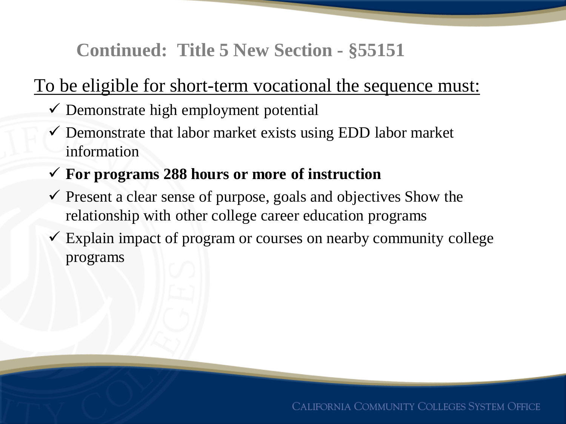**Continued: Title 5 New Section - §55151** 

#### To be eligible for short-term vocational the sequence must:

- $\checkmark$  Demonstrate high employment potential
- $\checkmark$  Demonstrate that labor market exists using EDD labor market information
- **For programs 288 hours or more of instruction**
- $\checkmark$  Present a clear sense of purpose, goals and objectives Show the relationship with other college career education programs
- $\checkmark$  Explain impact of program or courses on nearby community college programs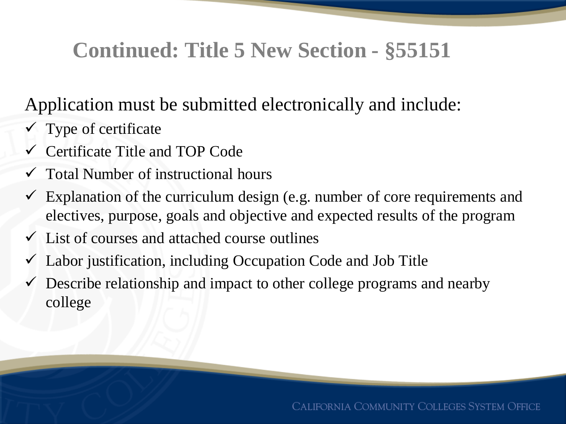# **Continued: Title 5 New Section - §55151**

Application must be submitted electronically and include:

- $\checkmark$  Type of certificate
- Certificate Title and TOP Code
- $\checkmark$  Total Number of instructional hours
- $\checkmark$  Explanation of the curriculum design (e.g. number of core requirements and electives, purpose, goals and objective and expected results of the program
- $\checkmark$  List of courses and attached course outlines
- $\checkmark$  Labor justification, including Occupation Code and Job Title
- $\checkmark$  Describe relationship and impact to other college programs and nearby college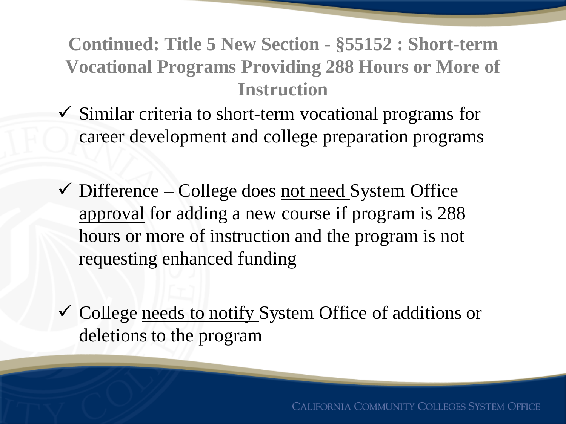## **Continued: Title 5 New Section - §55152 : Short-term Vocational Programs Providing 288 Hours or More of Instruction**

- $\checkmark$  Similar criteria to short-term vocational programs for career development and college preparation programs
- $\checkmark$  Difference College does <u>not need</u> System Office approval for adding a new course if program is 288 hours or more of instruction and the program is not requesting enhanced funding
- College needs to notify System Office of additions or deletions to the program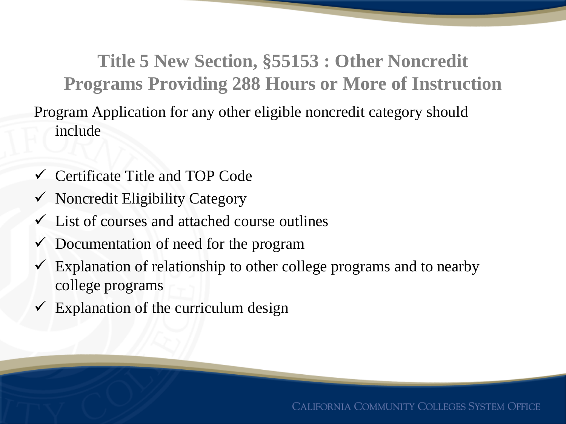**Title 5 New Section, §55153 : Other Noncredit Programs Providing 288 Hours or More of Instruction** Program Application for any other eligible noncredit category should include

- Certificate Title and TOP Code
- $\checkmark$  Noncredit Eligibility Category
- $\checkmark$  List of courses and attached course outlines
- $\checkmark$  Documentation of need for the program
- $\checkmark$  Explanation of relationship to other college programs and to nearby college programs
- $\checkmark$  Explanation of the curriculum design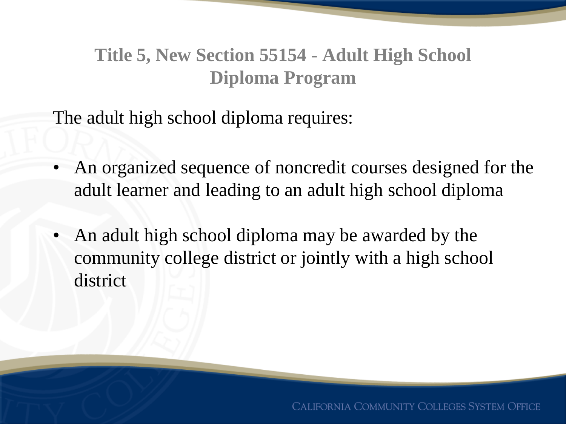### **Title 5, New Section 55154 - Adult High School Diploma Program**

The adult high school diploma requires:

- An organized sequence of noncredit courses designed for the adult learner and leading to an adult high school diploma
- An adult high school diploma may be awarded by the community college district or jointly with a high school district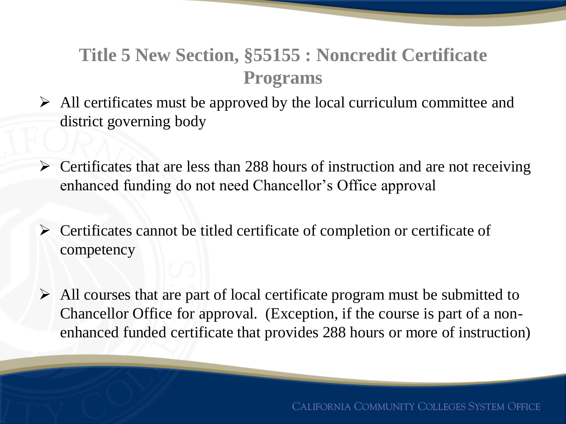### **Title 5 New Section, §55155 : Noncredit Certificate Programs**

- $\triangleright$  All certificates must be approved by the local curriculum committee and district governing body
- $\triangleright$  Certificates that are less than 288 hours of instruction and are not receiving enhanced funding do not need Chancellor's Office approval
- $\triangleright$  Certificates cannot be titled certificate of completion or certificate of competency
- $\triangleright$  All courses that are part of local certificate program must be submitted to Chancellor Office for approval. (Exception, if the course is part of a nonenhanced funded certificate that provides 288 hours or more of instruction)